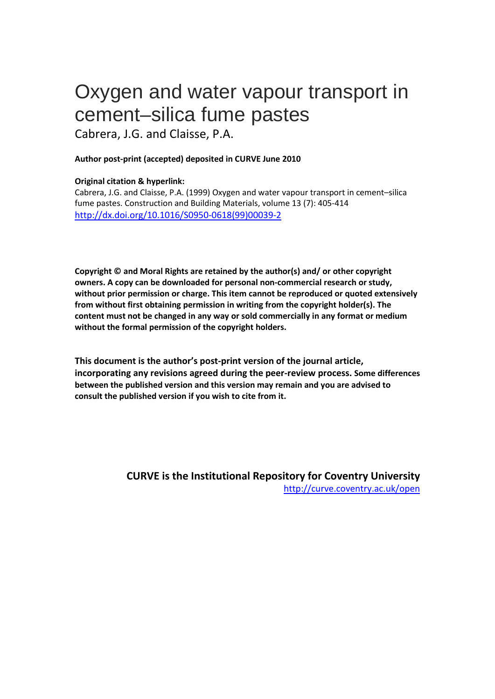# Oxygen and water vapour transport in cement–silica fume pastes

Cabrera, J.G. and Claisse, P.A.

# **Author post-print (accepted) deposited in CURVE June 2010**

# **Original citation & hyperlink:**

Cabrera, J.G. and Claisse, P.A. (1999) Oxygen and water vapour transport in cement–silica fume pastes. Construction and Building Materials, volume 13 (7): 405-414 [http://dx.doi.org/10.1016/S0950-0618\(99\)00039-2](http://dx.doi.org/10.1016/S0950-0618(99)00039-2)

**Copyright © and Moral Rights are retained by the author(s) and/ or other copyright owners. A copy can be downloaded for personal non-commercial research or study, without prior permission or charge. This item cannot be reproduced or quoted extensively from without first obtaining permission in writing from the copyright holder(s). The content must not be changed in any way or sold commercially in any format or medium without the formal permission of the copyright holders.** 

**This document is the author's post-print version of the journal article, incorporating any revisions agreed during the peer-review process. Some differences between the published version and this version may remain and you are advised to consult the published version if you wish to cite from it.** 

> **CURVE is the Institutional Repository for Coventry University** <http://curve.coventry.ac.uk/open>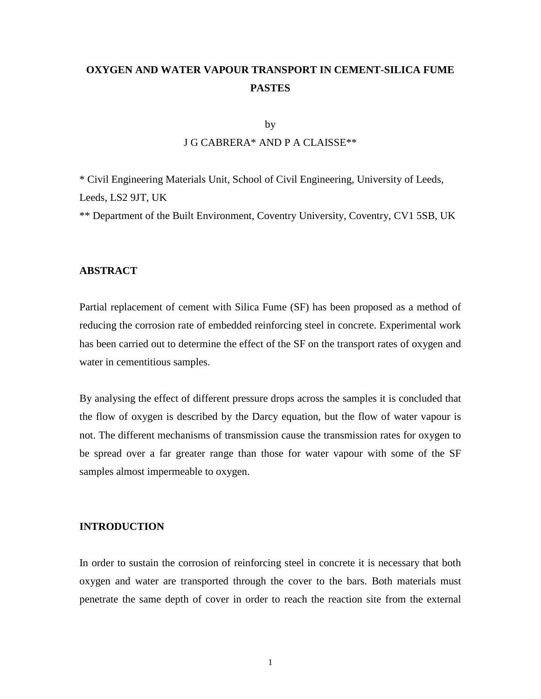# **OXYGEN AND WATER VAPOUR TRANSPORT IN CEMENT-SILICA FUME PASTES**

#### by

# J G CABRERA\* AND P A CLAISSE\*\*

\* Civil Engineering Materials Unit, School of Civil Engineering, University of Leeds, Leeds, LS2 9JT, UK

\*\* Department of the Built Environment, Coventry University, Coventry, CV1 5SB, UK

#### **ABSTRACT**

Partial replacement of cement with Silica Fume (SF) has been proposed as a method of reducing the corrosion rate of embedded reinforcing steel in concrete. Experimental work has been carried out to determine the effect of the SF on the transport rates of oxygen and water in cementitious samples.

By analysing the effect of different pressure drops across the samples it is concluded that the flow of oxygen is described by the Darcy equation, but the flow of water vapour is not. The different mechanisms of transmission cause the transmission rates for oxygen to be spread over a far greater range than those for water vapour with some of the SF samples almost impermeable to oxygen.

#### **INTRODUCTION**

In order to sustain the corrosion of reinforcing steel in concrete it is necessary that both oxygen and water are transported through the cover to the bars. Both materials must penetrate the same depth of cover in order to reach the reaction site from the external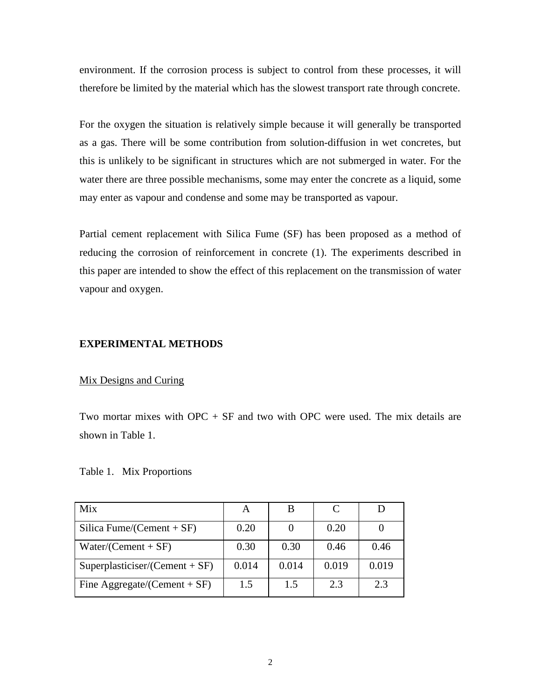environment. If the corrosion process is subject to control from these processes, it will therefore be limited by the material which has the slowest transport rate through concrete.

For the oxygen the situation is relatively simple because it will generally be transported as a gas. There will be some contribution from solution-diffusion in wet concretes, but this is unlikely to be significant in structures which are not submerged in water. For the water there are three possible mechanisms, some may enter the concrete as a liquid, some may enter as vapour and condense and some may be transported as vapour.

Partial cement replacement with Silica Fume (SF) has been proposed as a method of reducing the corrosion of reinforcement in concrete (1). The experiments described in this paper are intended to show the effect of this replacement on the transmission of water vapour and oxygen.

#### **EXPERIMENTAL METHODS**

#### Mix Designs and Curing

Two mortar mixes with  $OPC + SF$  and two with OPC were used. The mix details are shown in Table 1.

Table 1. Mix Proportions

| Mix                              | A     |       |       |       |
|----------------------------------|-------|-------|-------|-------|
| Silica Fume/(Cement + $SF$ )     | 0.20  |       | 0.20  |       |
| $Water/(Cement + SF)$            | 0.30  | 0.30  | 0.46  | 0.46  |
| $Superplasticiser/(Cement + SF)$ | 0.014 | 0.014 | 0.019 | 0.019 |
| Fine Aggregate/(Cement + $SF$ )  | 1.5   | 1.5   | 2.3   | 2.3   |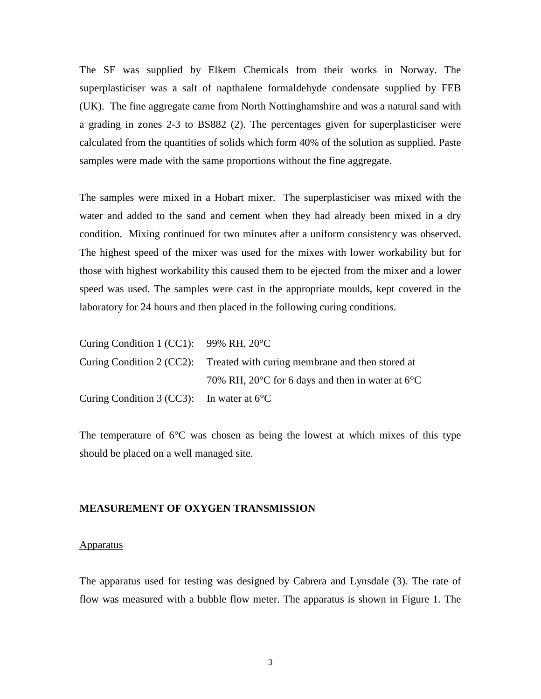The SF was supplied by Elkem Chemicals from their works in Norway. The superplasticiser was a salt of napthalene formaldehyde condensate supplied by FEB (UK). The fine aggregate came from North Nottinghamshire and was a natural sand with a grading in zones 2-3 to BS882 (2). The percentages given for superplasticiser were calculated from the quantities of solids which form 40% of the solution as supplied. Paste samples were made with the same proportions without the fine aggregate.

The samples were mixed in a Hobart mixer. The superplasticiser was mixed with the water and added to the sand and cement when they had already been mixed in a dry condition. Mixing continued for two minutes after a uniform consistency was observed. The highest speed of the mixer was used for the mixes with lower workability but for those with highest workability this caused them to be ejected from the mixer and a lower speed was used. The samples were cast in the appropriate moulds, kept covered in the laboratory for 24 hours and then placed in the following curing conditions.

| Curing Condition 1 (CC1): $99\% \text{ RH}$ , $20^{\circ} \text{C}$ |                                                                                |
|---------------------------------------------------------------------|--------------------------------------------------------------------------------|
|                                                                     | Curing Condition 2 (CC2): Treated with curing membrane and then stored at      |
|                                                                     | 70% RH, 20 $\rm{^{\circ}C}$ for 6 days and then in water at 6 $\rm{^{\circ}C}$ |
| Curing Condition 3 (CC3): In water at $6^{\circ}$ C                 |                                                                                |

The temperature of  $6^{\circ}$ C was chosen as being the lowest at which mixes of this type should be placed on a well managed site.

#### **MEASUREMENT OF OXYGEN TRANSMISSION**

#### Apparatus

The apparatus used for testing was designed by Cabrera and Lynsdale (3). The rate of flow was measured with a bubble flow meter. The apparatus is shown in Figure 1. The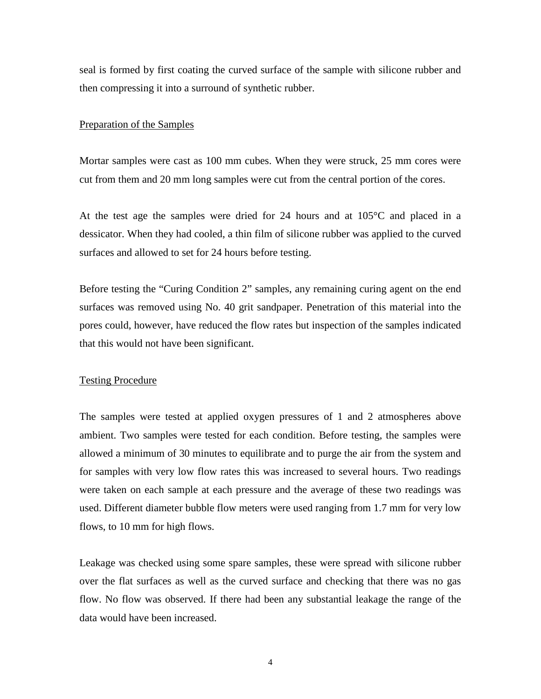seal is formed by first coating the curved surface of the sample with silicone rubber and then compressing it into a surround of synthetic rubber.

#### Preparation of the Samples

Mortar samples were cast as 100 mm cubes. When they were struck, 25 mm cores were cut from them and 20 mm long samples were cut from the central portion of the cores.

At the test age the samples were dried for 24 hours and at  $105^{\circ}$ C and placed in a dessicator. When they had cooled, a thin film of silicone rubber was applied to the curved surfaces and allowed to set for 24 hours before testing.

Before testing the "Curing Condition 2" samples, any remaining curing agent on the end surfaces was removed using No. 40 grit sandpaper. Penetration of this material into the pores could, however, have reduced the flow rates but inspection of the samples indicated that this would not have been significant.

# Testing Procedure

The samples were tested at applied oxygen pressures of 1 and 2 atmospheres above ambient. Two samples were tested for each condition. Before testing, the samples were allowed a minimum of 30 minutes to equilibrate and to purge the air from the system and for samples with very low flow rates this was increased to several hours. Two readings were taken on each sample at each pressure and the average of these two readings was used. Different diameter bubble flow meters were used ranging from 1.7 mm for very low flows, to 10 mm for high flows.

Leakage was checked using some spare samples, these were spread with silicone rubber over the flat surfaces as well as the curved surface and checking that there was no gas flow. No flow was observed. If there had been any substantial leakage the range of the data would have been increased.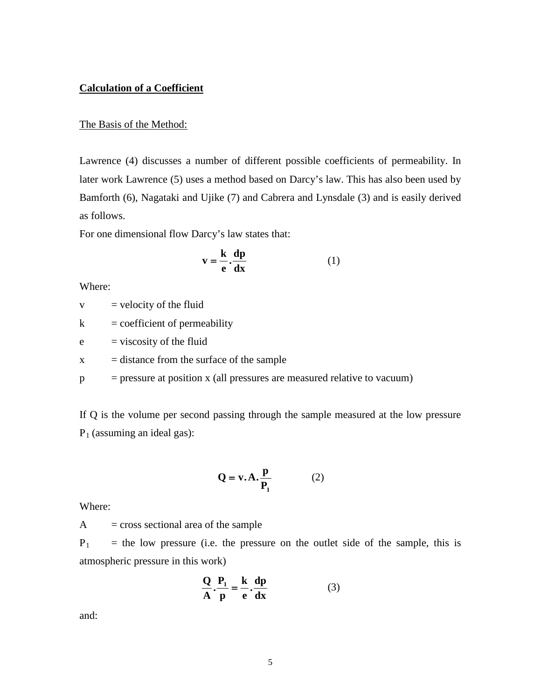# **Calculation of a Coefficient**

#### The Basis of the Method:

Lawrence (4) discusses a number of different possible coefficients of permeability. In later work Lawrence (5) uses a method based on Darcy's law. This has also been used by Bamforth (6), Nagataki and Ujike (7) and Cabrera and Lynsdale (3) and is easily derived as follows.

For one dimensional flow Darcy's law states that:

$$
\mathbf{v} = \frac{\mathbf{k}}{\mathbf{e}} \cdot \frac{\mathbf{dp}}{\mathbf{dx}} \tag{1}
$$

Where:

 $v =$  velocity of the fluid

 $k =$  coefficient of permeability

 $e$  = viscosity of the fluid

 $x =$  distance from the surface of the sample

 $p = pressure$  at position x (all pressures are measured relative to vacuum)

If Q is the volume per second passing through the sample measured at the low pressure  $P_1$  (assuming an ideal gas):

$$
Q = v.A.\frac{p}{P_1} \tag{2}
$$

Where:

 $A = \text{cross sectional area of the sample}$ 

 $P_1$  = the low pressure (i.e. the pressure on the outlet side of the sample, this is atmospheric pressure in this work)

$$
\frac{Q}{A} \cdot \frac{P_1}{p} = \frac{k}{e} \cdot \frac{dp}{dx}
$$
 (3)

and: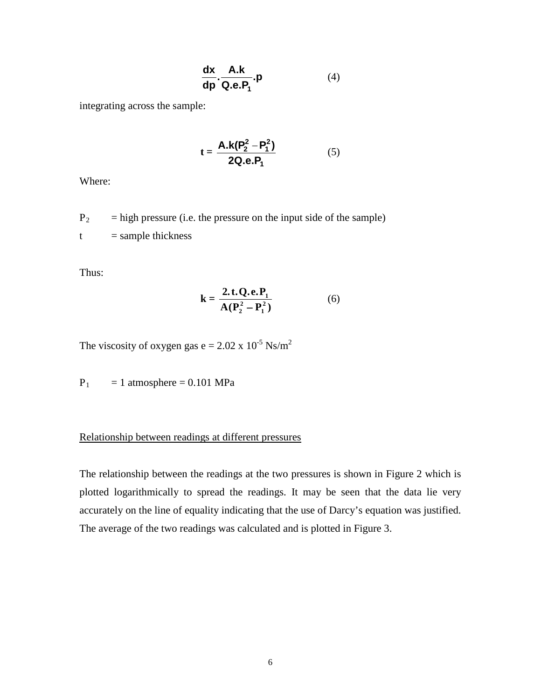$$
\frac{dx}{dp} \cdot \frac{A.k}{Q.e.P_1} . p \tag{4}
$$

integrating across the sample:

$$
t = \frac{A.k(P_2^2 - P_1^2)}{2Q.e.P_1}
$$
 (5)

Where:

 $P_2$  = high pressure (i.e. the pressure on the input side of the sample)  $t =$  sample thickness

Thus:

$$
k = \frac{2 \cdot t \cdot Q \cdot e \cdot P_1}{A (P_2^2 - P_1^2)}
$$
 (6)

The viscosity of oxygen gas  $e = 2.02 \times 10^{-5} \text{ Ns/m}^2$ 

 $P_1 = 1$  atmosphere = 0.101 MPa

# Relationship between readings at different pressures

The relationship between the readings at the two pressures is shown in Figure 2 which is plotted logarithmically to spread the readings. It may be seen that the data lie very accurately on the line of equality indicating that the use of Darcy's equation was justified. The average of the two readings was calculated and is plotted in Figure 3.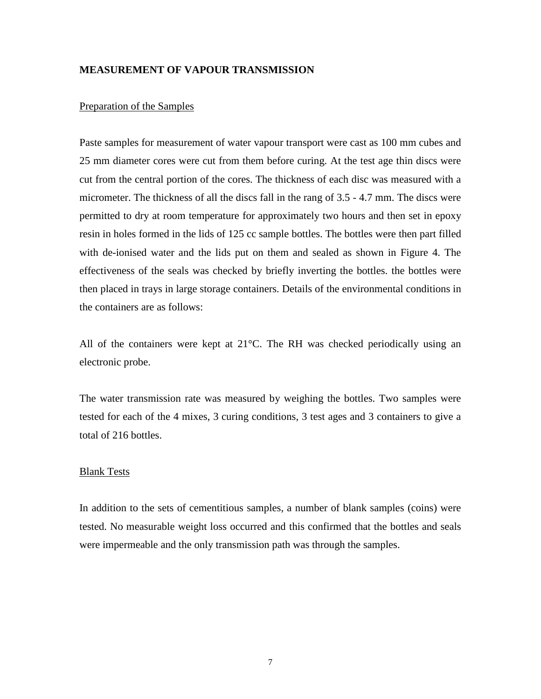# **MEASUREMENT OF VAPOUR TRANSMISSION**

### Preparation of the Samples

Paste samples for measurement of water vapour transport were cast as 100 mm cubes and 25 mm diameter cores were cut from them before curing. At the test age thin discs were cut from the central portion of the cores. The thickness of each disc was measured with a micrometer. The thickness of all the discs fall in the rang of 3.5 - 4.7 mm. The discs were permitted to dry at room temperature for approximately two hours and then set in epoxy resin in holes formed in the lids of 125 cc sample bottles. The bottles were then part filled with de-ionised water and the lids put on them and sealed as shown in Figure 4. The effectiveness of the seals was checked by briefly inverting the bottles. the bottles were then placed in trays in large storage containers. Details of the environmental conditions in the containers are as follows:

All of the containers were kept at 21°C. The RH was checked periodically using an electronic probe.

The water transmission rate was measured by weighing the bottles. Two samples were tested for each of the 4 mixes, 3 curing conditions, 3 test ages and 3 containers to give a total of 216 bottles.

#### Blank Tests

In addition to the sets of cementitious samples, a number of blank samples (coins) were tested. No measurable weight loss occurred and this confirmed that the bottles and seals were impermeable and the only transmission path was through the samples.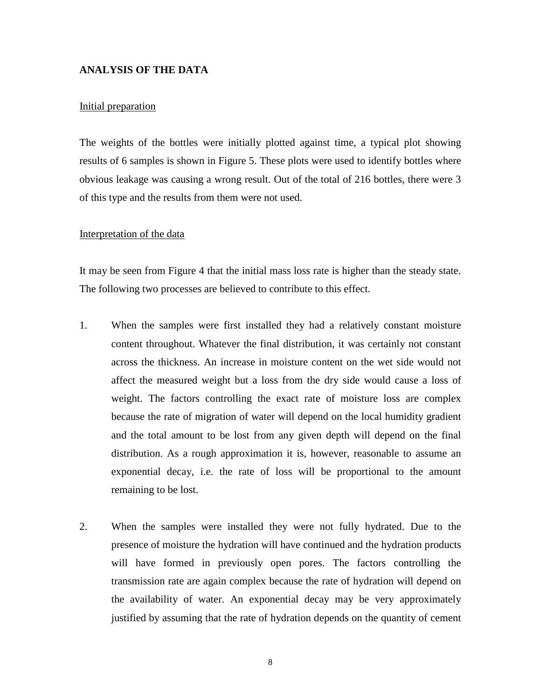# **ANALYSIS OF THE DATA**

#### Initial preparation

The weights of the bottles were initially plotted against time, a typical plot showing results of 6 samples is shown in Figure 5. These plots were used to identify bottles where obvious leakage was causing a wrong result. Out of the total of 216 bottles, there were 3 of this type and the results from them were not used.

#### Interpretation of the data

It may be seen from Figure 4 that the initial mass loss rate is higher than the steady state. The following two processes are believed to contribute to this effect.

- 1. When the samples were first installed they had a relatively constant moisture content throughout. Whatever the final distribution, it was certainly not constant across the thickness. An increase in moisture content on the wet side would not affect the measured weight but a loss from the dry side would cause a loss of weight. The factors controlling the exact rate of moisture loss are complex because the rate of migration of water will depend on the local humidity gradient and the total amount to be lost from any given depth will depend on the final distribution. As a rough approximation it is, however, reasonable to assume an exponential decay, i.e. the rate of loss will be proportional to the amount remaining to be lost.
- 2. When the samples were installed they were not fully hydrated. Due to the presence of moisture the hydration will have continued and the hydration products will have formed in previously open pores. The factors controlling the transmission rate are again complex because the rate of hydration will depend on the availability of water. An exponential decay may be very approximately justified by assuming that the rate of hydration depends on the quantity of cement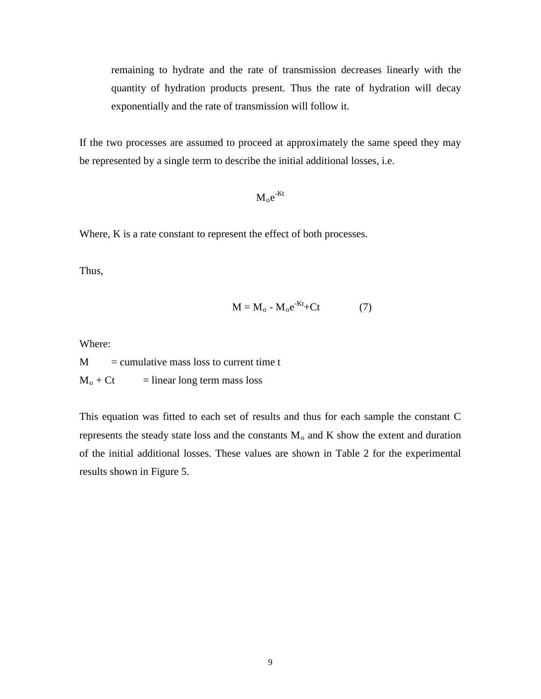remaining to hydrate and the rate of transmission decreases linearly with the quantity of hydration products present. Thus the rate of hydration will decay exponentially and the rate of transmission will follow it.

If the two processes are assumed to proceed at approximately the same speed they may be represented by a single term to describe the initial additional losses, i.e.

 $\rm M_{o}e^{-Kt}$ 

Where, K is a rate constant to represent the effect of both processes.

Thus,

$$
M = M_o - M_o e^{-Kt} + Ct \tag{7}
$$

Where:

 $M =$  cumulative mass loss to current time t  $M_0$  + Ct = linear long term mass loss

This equation was fitted to each set of results and thus for each sample the constant C represents the steady state loss and the constants  $M_0$  and K show the extent and duration of the initial additional losses. These values are shown in Table 2 for the experimental results shown in Figure 5.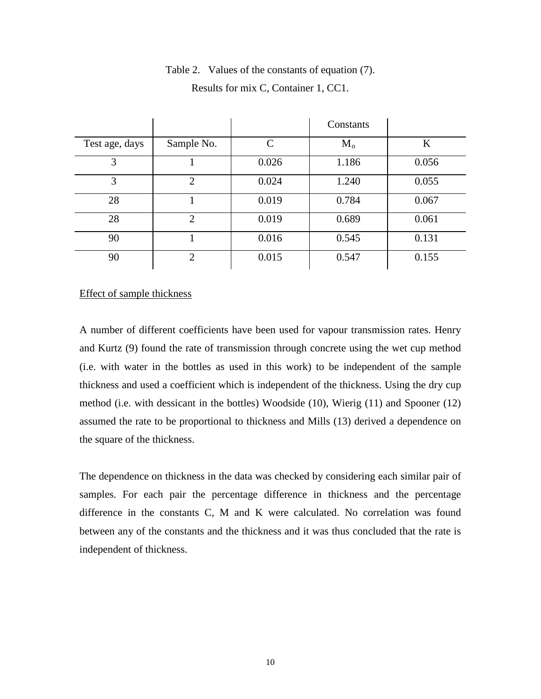|                |                |               | Constants |         |
|----------------|----------------|---------------|-----------|---------|
| Test age, days | Sample No.     | $\mathcal{C}$ | $M_{o}$   | $\bf K$ |
| 3              |                | 0.026         | 1.186     | 0.056   |
| 3              | $\overline{2}$ | 0.024         | 1.240     | 0.055   |
| 28             |                | 0.019         | 0.784     | 0.067   |
| 28             | $\overline{2}$ | 0.019         | 0.689     | 0.061   |
| 90             |                | 0.016         | 0.545     | 0.131   |
| 90             | 2              | 0.015         | 0.547     | 0.155   |

# Table 2. Values of the constants of equation (7). Results for mix C, Container 1, CC1.

# Effect of sample thickness

A number of different coefficients have been used for vapour transmission rates. Henry and Kurtz (9) found the rate of transmission through concrete using the wet cup method (i.e. with water in the bottles as used in this work) to be independent of the sample thickness and used a coefficient which is independent of the thickness. Using the dry cup method (i.e. with dessicant in the bottles) Woodside (10), Wierig (11) and Spooner (12) assumed the rate to be proportional to thickness and Mills (13) derived a dependence on the square of the thickness.

The dependence on thickness in the data was checked by considering each similar pair of samples. For each pair the percentage difference in thickness and the percentage difference in the constants C, M and K were calculated. No correlation was found between any of the constants and the thickness and it was thus concluded that the rate is independent of thickness.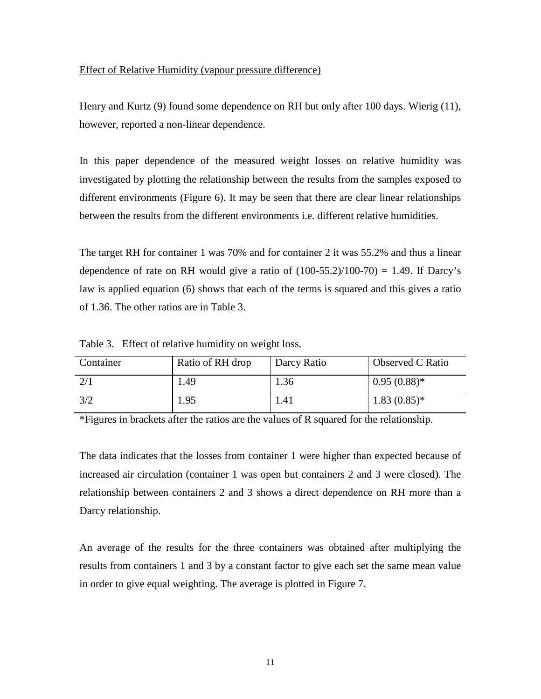# Effect of Relative Humidity (vapour pressure difference)

Henry and Kurtz (9) found some dependence on RH but only after 100 days. Wierig (11), however, reported a non-linear dependence.

In this paper dependence of the measured weight losses on relative humidity was investigated by plotting the relationship between the results from the samples exposed to different environments (Figure 6). It may be seen that there are clear linear relationships between the results from the different environments i.e. different relative humidities.

The target RH for container 1 was 70% and for container 2 it was 55.2% and thus a linear dependence of rate on RH would give a ratio of  $(100-55.2)/100-70$  = 1.49. If Darcy's law is applied equation (6) shows that each of the terms is squared and this gives a ratio of 1.36. The other ratios are in Table 3.

| Container | Ratio of RH drop | Darcy Ratio | Observed C Ratio |
|-----------|------------------|-------------|------------------|
|           | 1.49             | 1.36        | $0.95(0.88)$ *   |
| 3/2       | 1.95             | 1.41        | $1.83(0.85)*$    |

Table 3. Effect of relative humidity on weight loss.

\*Figures in brackets after the ratios are the values of R squared for the relationship.

The data indicates that the losses from container 1 were higher than expected because of increased air circulation (container 1 was open but containers 2 and 3 were closed). The relationship between containers 2 and 3 shows a direct dependence on RH more than a Darcy relationship.

An average of the results for the three containers was obtained after multiplying the results from containers 1 and 3 by a constant factor to give each set the same mean value in order to give equal weighting. The average is plotted in Figure 7.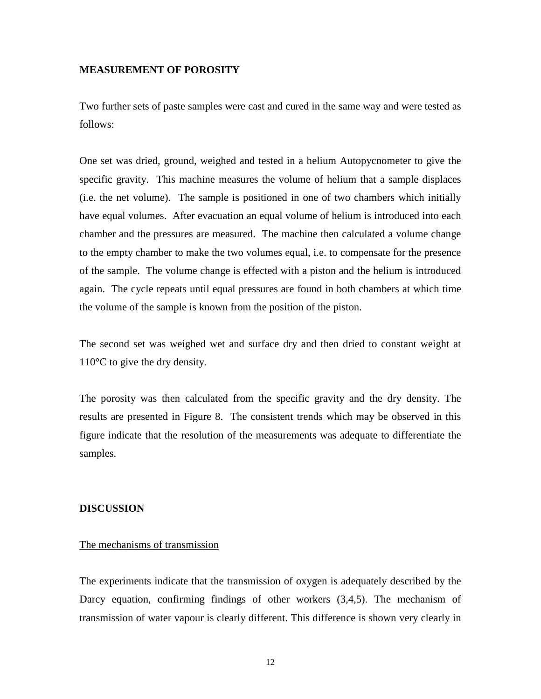#### **MEASUREMENT OF POROSITY**

Two further sets of paste samples were cast and cured in the same way and were tested as follows:

One set was dried, ground, weighed and tested in a helium Autopycnometer to give the specific gravity. This machine measures the volume of helium that a sample displaces (i.e. the net volume). The sample is positioned in one of two chambers which initially have equal volumes. After evacuation an equal volume of helium is introduced into each chamber and the pressures are measured. The machine then calculated a volume change to the empty chamber to make the two volumes equal, i.e. to compensate for the presence of the sample. The volume change is effected with a piston and the helium is introduced again. The cycle repeats until equal pressures are found in both chambers at which time the volume of the sample is known from the position of the piston.

The second set was weighed wet and surface dry and then dried to constant weight at 110°C to give the dry density.

The porosity was then calculated from the specific gravity and the dry density. The results are presented in Figure 8. The consistent trends which may be observed in this figure indicate that the resolution of the measurements was adequate to differentiate the samples.

#### **DISCUSSION**

# The mechanisms of transmission

The experiments indicate that the transmission of oxygen is adequately described by the Darcy equation, confirming findings of other workers (3,4,5). The mechanism of transmission of water vapour is clearly different. This difference is shown very clearly in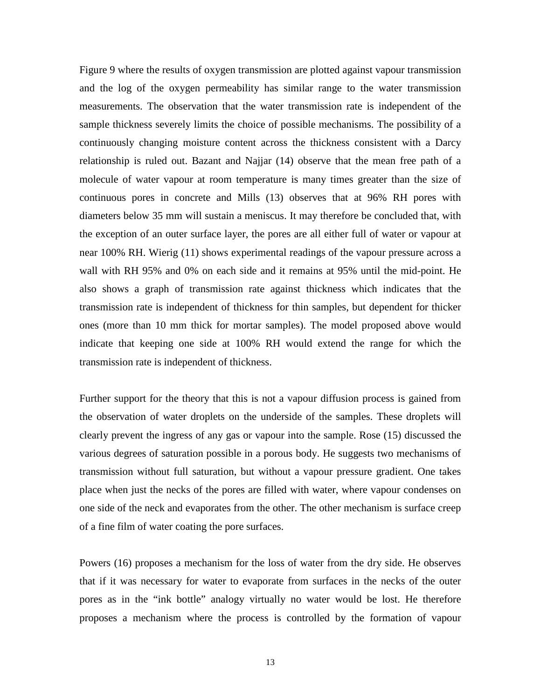Figure 9 where the results of oxygen transmission are plotted against vapour transmission and the log of the oxygen permeability has similar range to the water transmission measurements. The observation that the water transmission rate is independent of the sample thickness severely limits the choice of possible mechanisms. The possibility of a continuously changing moisture content across the thickness consistent with a Darcy relationship is ruled out. Bazant and Najjar (14) observe that the mean free path of a molecule of water vapour at room temperature is many times greater than the size of continuous pores in concrete and Mills (13) observes that at 96% RH pores with diameters below 35 mm will sustain a meniscus. It may therefore be concluded that, with the exception of an outer surface layer, the pores are all either full of water or vapour at near 100% RH. Wierig (11) shows experimental readings of the vapour pressure across a wall with RH 95% and 0% on each side and it remains at 95% until the mid-point. He also shows a graph of transmission rate against thickness which indicates that the transmission rate is independent of thickness for thin samples, but dependent for thicker ones (more than 10 mm thick for mortar samples). The model proposed above would indicate that keeping one side at 100% RH would extend the range for which the transmission rate is independent of thickness.

Further support for the theory that this is not a vapour diffusion process is gained from the observation of water droplets on the underside of the samples. These droplets will clearly prevent the ingress of any gas or vapour into the sample. Rose (15) discussed the various degrees of saturation possible in a porous body. He suggests two mechanisms of transmission without full saturation, but without a vapour pressure gradient. One takes place when just the necks of the pores are filled with water, where vapour condenses on one side of the neck and evaporates from the other. The other mechanism is surface creep of a fine film of water coating the pore surfaces.

Powers (16) proposes a mechanism for the loss of water from the dry side. He observes that if it was necessary for water to evaporate from surfaces in the necks of the outer pores as in the "ink bottle" analogy virtually no water would be lost. He therefore proposes a mechanism where the process is controlled by the formation of vapour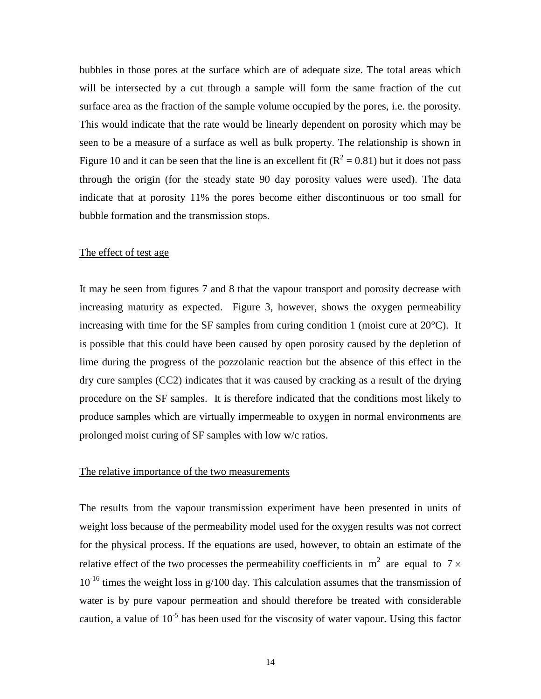bubbles in those pores at the surface which are of adequate size. The total areas which will be intersected by a cut through a sample will form the same fraction of the cut surface area as the fraction of the sample volume occupied by the pores, i.e. the porosity. This would indicate that the rate would be linearly dependent on porosity which may be seen to be a measure of a surface as well as bulk property. The relationship is shown in Figure 10 and it can be seen that the line is an excellent fit  $(R^2 = 0.81)$  but it does not pass through the origin (for the steady state 90 day porosity values were used). The data indicate that at porosity 11% the pores become either discontinuous or too small for bubble formation and the transmission stops.

# The effect of test age

It may be seen from figures 7 and 8 that the vapour transport and porosity decrease with increasing maturity as expected. Figure 3, however, shows the oxygen permeability increasing with time for the SF samples from curing condition 1 (moist cure at  $20^{\circ}$ C). It is possible that this could have been caused by open porosity caused by the depletion of lime during the progress of the pozzolanic reaction but the absence of this effect in the dry cure samples (CC2) indicates that it was caused by cracking as a result of the drying procedure on the SF samples. It is therefore indicated that the conditions most likely to produce samples which are virtually impermeable to oxygen in normal environments are prolonged moist curing of SF samples with low w/c ratios.

# The relative importance of the two measurements

The results from the vapour transmission experiment have been presented in units of weight loss because of the permeability model used for the oxygen results was not correct for the physical process. If the equations are used, however, to obtain an estimate of the relative effect of the two processes the permeability coefficients in  $m^2$  are equal to 7  $\times$  $10^{-16}$  times the weight loss in g/100 day. This calculation assumes that the transmission of water is by pure vapour permeation and should therefore be treated with considerable caution, a value of  $10^{-5}$  has been used for the viscosity of water vapour. Using this factor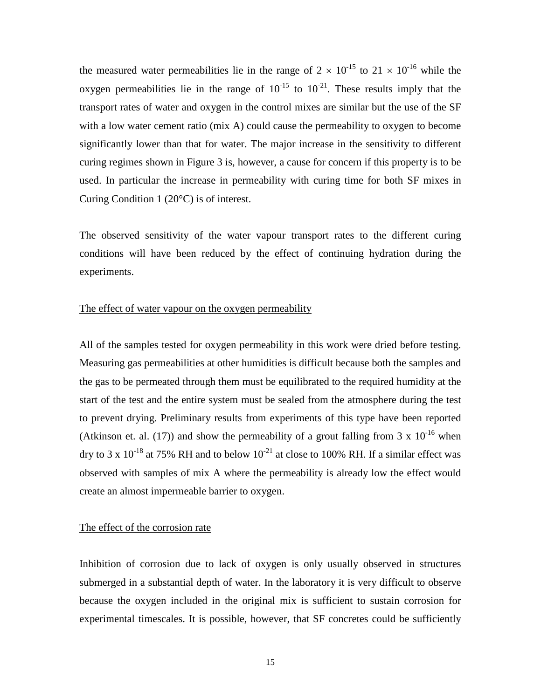the measured water permeabilities lie in the range of  $2 \times 10^{-15}$  to  $21 \times 10^{-16}$  while the oxygen permeabilities lie in the range of  $10^{-15}$  to  $10^{-21}$ . These results imply that the transport rates of water and oxygen in the control mixes are similar but the use of the SF with a low water cement ratio (mix A) could cause the permeability to oxygen to become significantly lower than that for water. The major increase in the sensitivity to different curing regimes shown in Figure 3 is, however, a cause for concern if this property is to be used. In particular the increase in permeability with curing time for both SF mixes in Curing Condition 1 (20°C) is of interest.

The observed sensitivity of the water vapour transport rates to the different curing conditions will have been reduced by the effect of continuing hydration during the experiments.

#### The effect of water vapour on the oxygen permeability

All of the samples tested for oxygen permeability in this work were dried before testing. Measuring gas permeabilities at other humidities is difficult because both the samples and the gas to be permeated through them must be equilibrated to the required humidity at the start of the test and the entire system must be sealed from the atmosphere during the test to prevent drying. Preliminary results from experiments of this type have been reported (Atkinson et. al. (17)) and show the permeability of a grout falling from 3 x  $10^{-16}$  when dry to 3 x  $10^{-18}$  at 75% RH and to below  $10^{-21}$  at close to 100% RH. If a similar effect was observed with samples of mix A where the permeability is already low the effect would create an almost impermeable barrier to oxygen.

#### The effect of the corrosion rate

Inhibition of corrosion due to lack of oxygen is only usually observed in structures submerged in a substantial depth of water. In the laboratory it is very difficult to observe because the oxygen included in the original mix is sufficient to sustain corrosion for experimental timescales. It is possible, however, that SF concretes could be sufficiently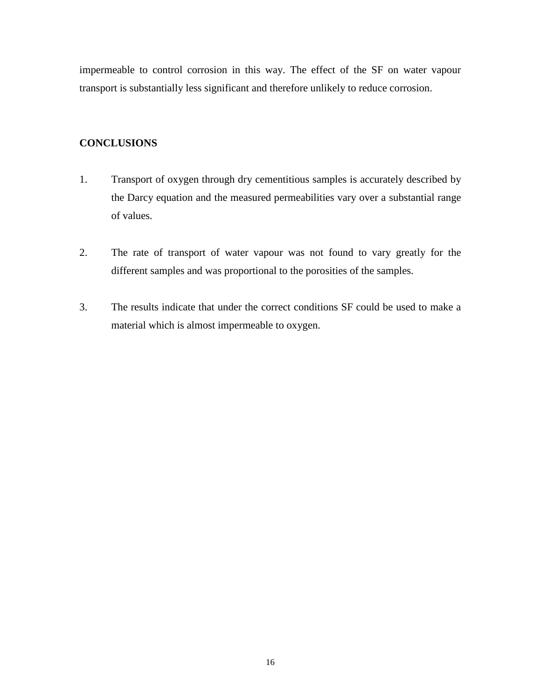impermeable to control corrosion in this way. The effect of the SF on water vapour transport is substantially less significant and therefore unlikely to reduce corrosion.

# **CONCLUSIONS**

- 1. Transport of oxygen through dry cementitious samples is accurately described by the Darcy equation and the measured permeabilities vary over a substantial range of values.
- 2. The rate of transport of water vapour was not found to vary greatly for the different samples and was proportional to the porosities of the samples.
- 3. The results indicate that under the correct conditions SF could be used to make a material which is almost impermeable to oxygen.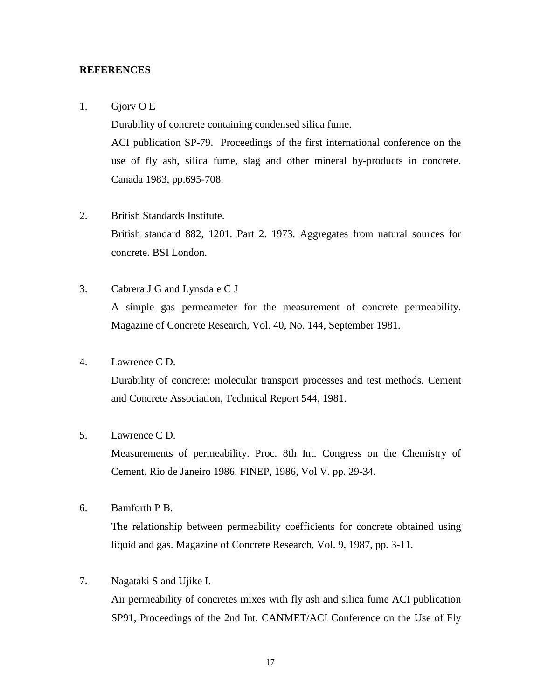#### **REFERENCES**

#### 1. Gjorv O E

Durability of concrete containing condensed silica fume.

ACI publication SP-79. Proceedings of the first international conference on the use of fly ash, silica fume, slag and other mineral by-products in concrete. Canada 1983, pp.695-708.

- 2. British Standards Institute. British standard 882, 1201. Part 2. 1973. Aggregates from natural sources for concrete. BSI London.
- 3. Cabrera J G and Lynsdale C J A simple gas permeameter for the measurement of concrete permeability. Magazine of Concrete Research, Vol. 40, No. 144, September 1981.

# 4. Lawrence C D.

Durability of concrete: molecular transport processes and test methods. Cement and Concrete Association, Technical Report 544, 1981.

# 5. Lawrence C D.

Measurements of permeability. Proc. 8th Int. Congress on the Chemistry of Cement, Rio de Janeiro 1986. FINEP, 1986, Vol V. pp. 29-34.

6. Bamforth P B.

The relationship between permeability coefficients for concrete obtained using liquid and gas. Magazine of Concrete Research, Vol. 9, 1987, pp. 3-11.

#### 7. Nagataki S and Ujike I.

Air permeability of concretes mixes with fly ash and silica fume ACI publication SP91, Proceedings of the 2nd Int. CANMET/ACI Conference on the Use of Fly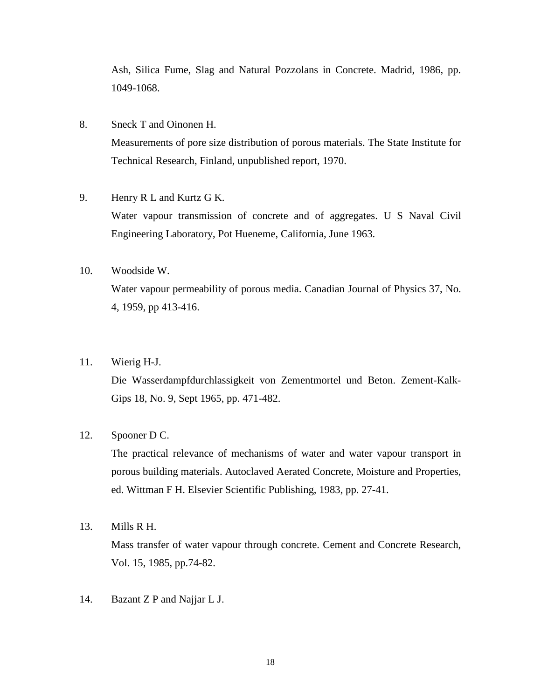Ash, Silica Fume, Slag and Natural Pozzolans in Concrete. Madrid, 1986, pp. 1049-1068.

- 8. Sneck T and Oinonen H. Measurements of pore size distribution of porous materials. The State Institute for Technical Research, Finland, unpublished report, 1970.
- 9. Henry R L and Kurtz G K. Water vapour transmission of concrete and of aggregates. U S Naval Civil Engineering Laboratory, Pot Hueneme, California, June 1963.
- 10. Woodside W. Water vapour permeability of porous media. Canadian Journal of Physics 37, No. 4, 1959, pp 413-416.

### 11. Wierig H-J.

Die Wasserdampfdurchlassigkeit von Zementmortel und Beton. Zement-Kalk-Gips 18, No. 9, Sept 1965, pp. 471-482.

# 12. Spooner D C.

The practical relevance of mechanisms of water and water vapour transport in porous building materials. Autoclaved Aerated Concrete, Moisture and Properties, ed. Wittman F H. Elsevier Scientific Publishing, 1983, pp. 27-41.

13. Mills R H.

Mass transfer of water vapour through concrete. Cement and Concrete Research, Vol. 15, 1985, pp.74-82.

14. Bazant Z P and Najjar L J.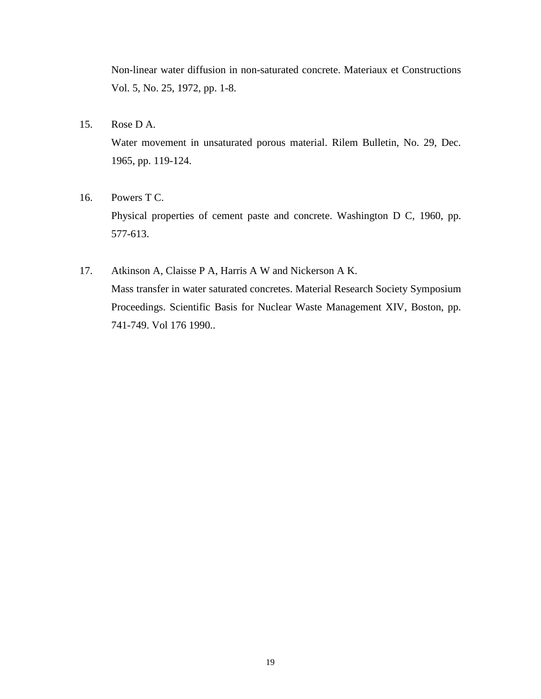Non-linear water diffusion in non-saturated concrete. Materiaux et Constructions Vol. 5, No. 25, 1972, pp. 1-8.

15. Rose D A.

Water movement in unsaturated porous material. Rilem Bulletin, No. 29, Dec. 1965, pp. 119-124.

16. Powers T C.

Physical properties of cement paste and concrete. Washington D C, 1960, pp. 577-613.

17. Atkinson A, Claisse P A, Harris A W and Nickerson A K. Mass transfer in water saturated concretes. Material Research Society Symposium Proceedings. Scientific Basis for Nuclear Waste Management XIV, Boston, pp. 741-749. Vol 176 1990..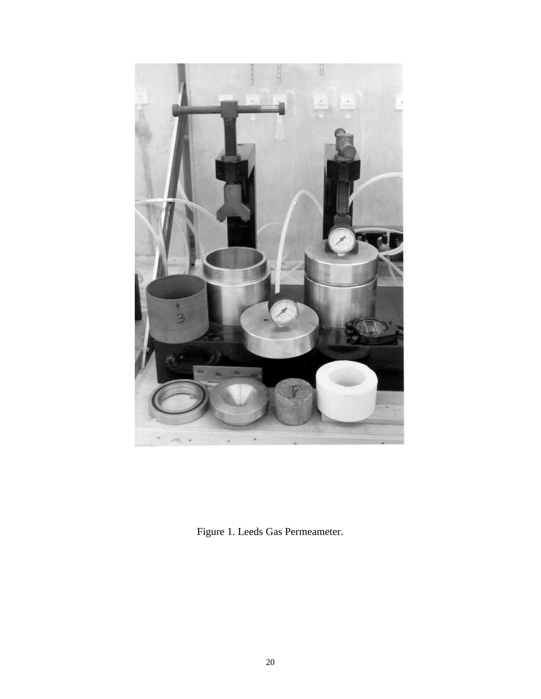

Figure 1. Leeds Gas Permeameter.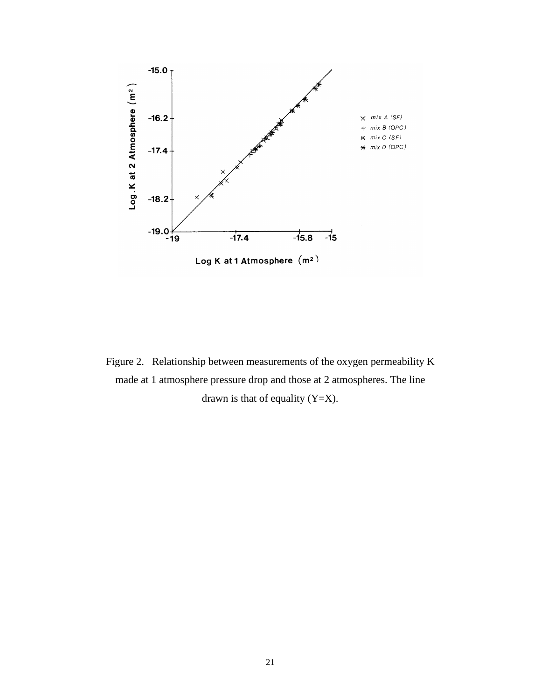

Figure 2. Relationship between measurements of the oxygen permeability K made at 1 atmosphere pressure drop and those at 2 atmospheres. The line drawn is that of equality  $(Y=X)$ .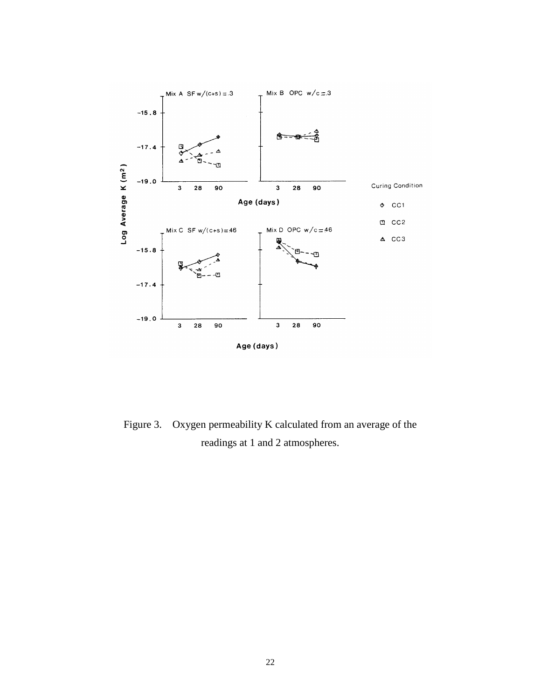

Figure 3. Oxygen permeability K calculated from an average of the readings at 1 and 2 atmospheres.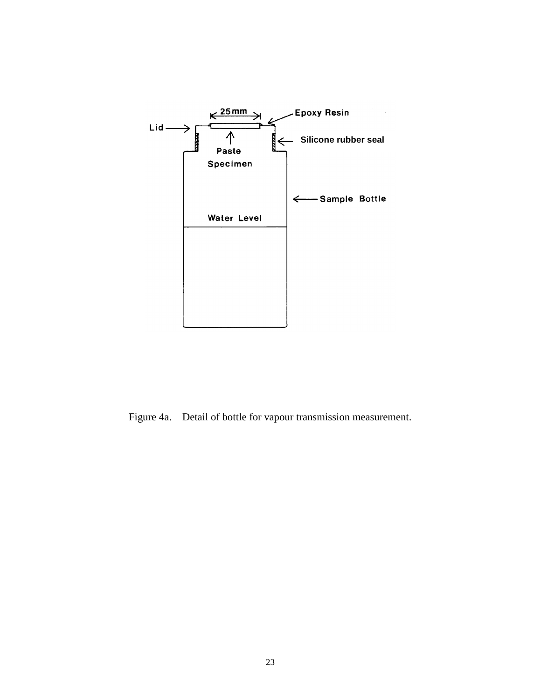

Figure 4a. Detail of bottle for vapour transmission measurement.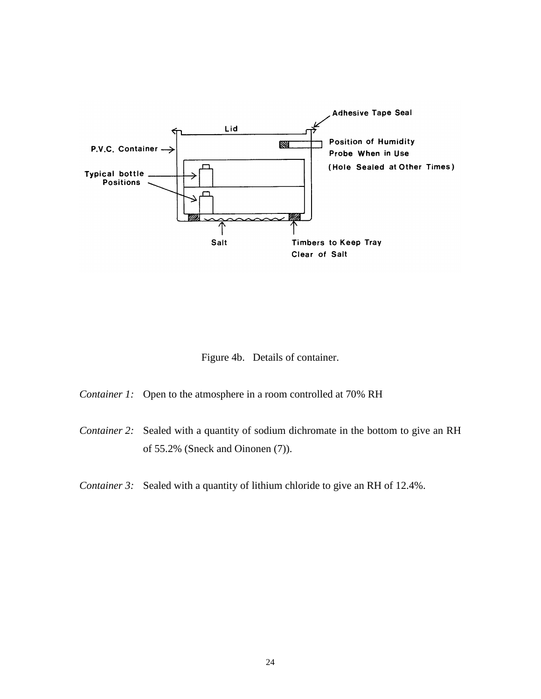

Figure 4b. Details of container.

*Container 1:* Open to the atmosphere in a room controlled at 70% RH

*Container 2:* Sealed with a quantity of sodium dichromate in the bottom to give an RH of 55.2% (Sneck and Oinonen (7)).

*Container 3:* Sealed with a quantity of lithium chloride to give an RH of 12.4%.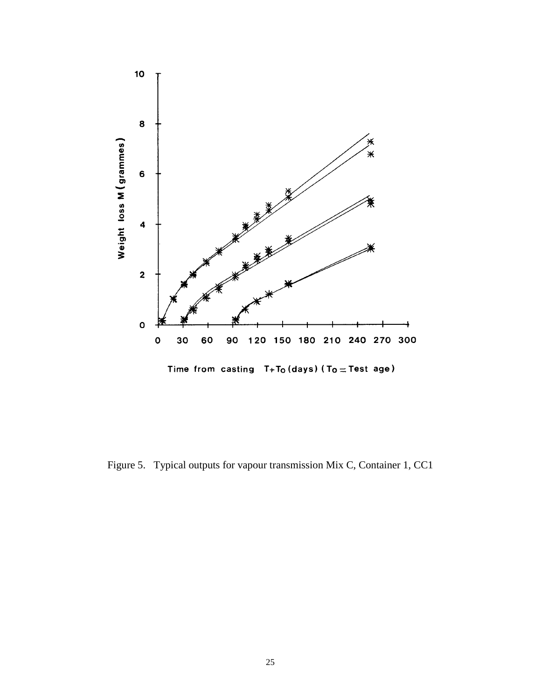

Figure 5. Typical outputs for vapour transmission Mix C, Container 1, CC1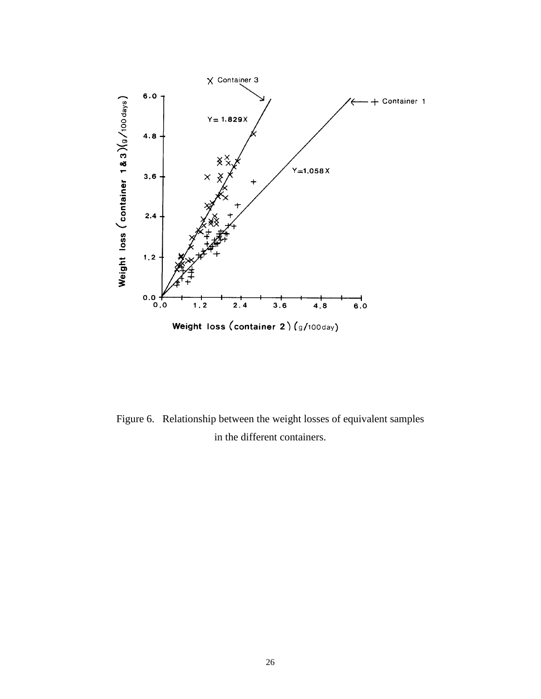

Figure 6. Relationship between the weight losses of equivalent samples in the different containers.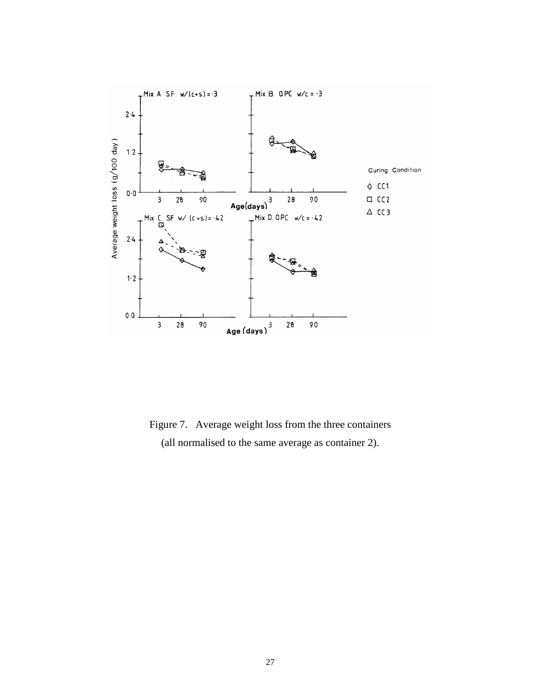

Figure 7. Average weight loss from the three containers (all normalised to the same average as container 2).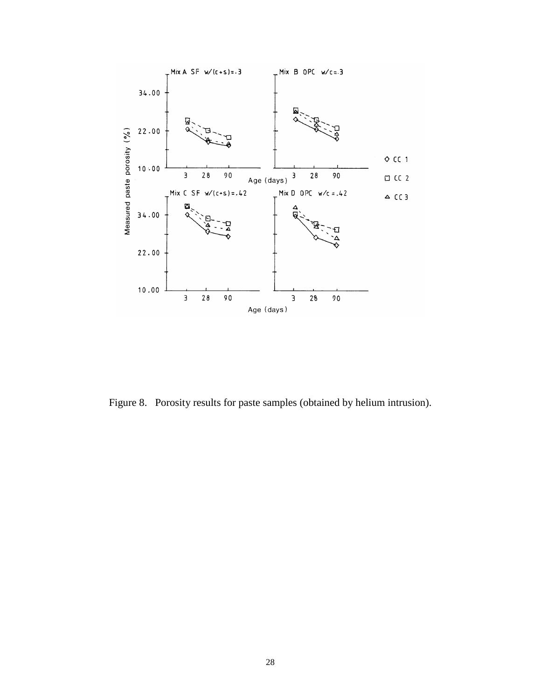

Figure 8. Porosity results for paste samples (obtained by helium intrusion).